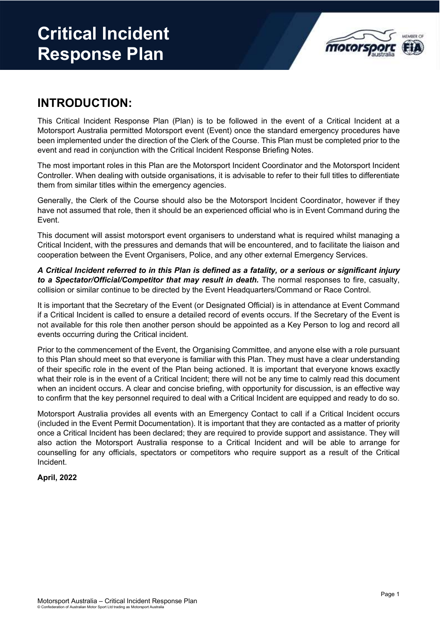# **Critical Incident Response Plan**



#### **INTRODUCTION:**

This Critical Incident Response Plan (Plan) is to be followed in the event of a Critical Incident at a Motorsport Australia permitted Motorsport event (Event) once the standard emergency procedures have been implemented under the direction of the Clerk of the Course. This Plan must be completed prior to the event and read in conjunction with the Critical Incident Response Briefing Notes.

The most important roles in this Plan are the Motorsport Incident Coordinator and the Motorsport Incident Controller. When dealing with outside organisations, it is advisable to refer to their full titles to differentiate them from similar titles within the emergency agencies.

Generally, the Clerk of the Course should also be the Motorsport Incident Coordinator, however if they have not assumed that role, then it should be an experienced official who is in Event Command during the Event.

This document will assist motorsport event organisers to understand what is required whilst managing a Critical Incident, with the pressures and demands that will be encountered, and to facilitate the liaison and cooperation between the Event Organisers, Police, and any other external Emergency Services.

*A Critical Incident referred to in this Plan is defined as a fatality, or a serious or significant injury to a Spectator/Official/Competitor that may result in death.* The normal responses to fire, casualty, collision or similar continue to be directed by the Event Headquarters/Command or Race Control.

It is important that the Secretary of the Event (or Designated Official) is in attendance at Event Command if a Critical Incident is called to ensure a detailed record of events occurs. If the Secretary of the Event is not available for this role then another person should be appointed as a Key Person to log and record all events occurring during the Critical incident.

Prior to the commencement of the Event, the Organising Committee, and anyone else with a role pursuant to this Plan should meet so that everyone is familiar with this Plan. They must have a clear understanding of their specific role in the event of the Plan being actioned. It is important that everyone knows exactly what their role is in the event of a Critical Incident; there will not be any time to calmly read this document when an incident occurs. A clear and concise briefing, with opportunity for discussion, is an effective way to confirm that the key personnel required to deal with a Critical Incident are equipped and ready to do so.

Motorsport Australia provides all events with an Emergency Contact to call if a Critical Incident occurs (included in the Event Permit Documentation). It is important that they are contacted as a matter of priority once a Critical Incident has been declared; they are required to provide support and assistance. They will also action the Motorsport Australia response to a Critical Incident and will be able to arrange for counselling for any officials, spectators or competitors who require support as a result of the Critical Incident.

#### **April, 2022**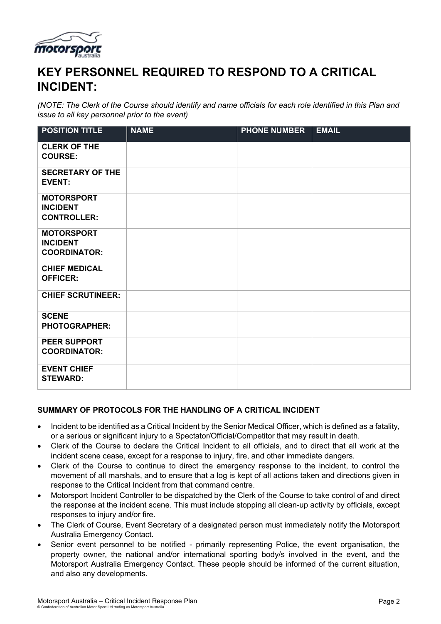

### **KEY PERSONNEL REQUIRED TO RESPOND TO A CRITICAL INCIDENT:**

*(NOTE: The Clerk of the Course should identify and name officials for each role identified in this Plan and issue to all key personnel prior to the event)*

| <b>POSITION TITLE</b>                                       | <b>NAME</b> | <b>PHONE NUMBER</b> | <b>EMAIL</b> |
|-------------------------------------------------------------|-------------|---------------------|--------------|
| <b>CLERK OF THE</b><br><b>COURSE:</b>                       |             |                     |              |
| <b>SECRETARY OF THE</b><br><b>EVENT:</b>                    |             |                     |              |
| <b>MOTORSPORT</b><br><b>INCIDENT</b><br><b>CONTROLLER:</b>  |             |                     |              |
| <b>MOTORSPORT</b><br><b>INCIDENT</b><br><b>COORDINATOR:</b> |             |                     |              |
| <b>CHIEF MEDICAL</b><br><b>OFFICER:</b>                     |             |                     |              |
| <b>CHIEF SCRUTINEER:</b>                                    |             |                     |              |
| <b>SCENE</b><br><b>PHOTOGRAPHER:</b>                        |             |                     |              |
| <b>PEER SUPPORT</b><br><b>COORDINATOR:</b>                  |             |                     |              |
| <b>EVENT CHIEF</b><br><b>STEWARD:</b>                       |             |                     |              |

#### **SUMMARY OF PROTOCOLS FOR THE HANDLING OF A CRITICAL INCIDENT**

- Incident to be identified as a Critical Incident by the Senior Medical Officer, which is defined as a fatality, or a serious or significant injury to a Spectator/Official/Competitor that may result in death.
- Clerk of the Course to declare the Critical Incident to all officials, and to direct that all work at the incident scene cease, except for a response to injury, fire, and other immediate dangers.
- Clerk of the Course to continue to direct the emergency response to the incident, to control the movement of all marshals, and to ensure that a log is kept of all actions taken and directions given in response to the Critical Incident from that command centre.
- Motorsport Incident Controller to be dispatched by the Clerk of the Course to take control of and direct the response at the incident scene. This must include stopping all clean-up activity by officials, except responses to injury and/or fire.
- The Clerk of Course, Event Secretary of a designated person must immediately notify the Motorsport Australia Emergency Contact.
- Senior event personnel to be notified primarily representing Police, the event organisation, the property owner, the national and/or international sporting body/s involved in the event, and the Motorsport Australia Emergency Contact. These people should be informed of the current situation, and also any developments.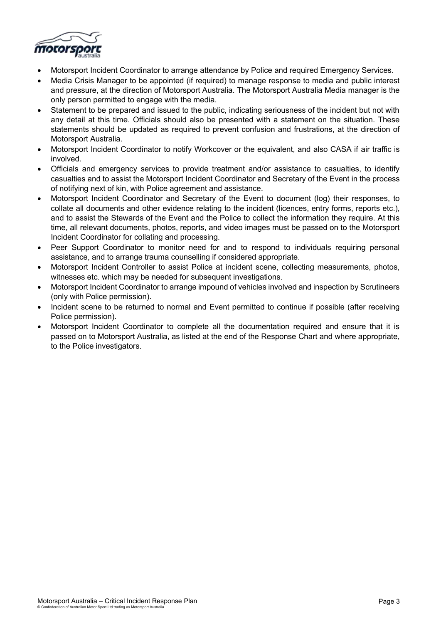

- Motorsport Incident Coordinator to arrange attendance by Police and required Emergency Services.
- Media Crisis Manager to be appointed (if required) to manage response to media and public interest and pressure, at the direction of Motorsport Australia. The Motorsport Australia Media manager is the only person permitted to engage with the media.
- Statement to be prepared and issued to the public, indicating seriousness of the incident but not with any detail at this time. Officials should also be presented with a statement on the situation. These statements should be updated as required to prevent confusion and frustrations, at the direction of Motorsport Australia.
- Motorsport Incident Coordinator to notify Workcover or the equivalent, and also CASA if air traffic is involved.
- Officials and emergency services to provide treatment and/or assistance to casualties, to identify casualties and to assist the Motorsport Incident Coordinator and Secretary of the Event in the process of notifying next of kin, with Police agreement and assistance.
- Motorsport Incident Coordinator and Secretary of the Event to document (log) their responses, to collate all documents and other evidence relating to the incident (licences, entry forms, reports etc.), and to assist the Stewards of the Event and the Police to collect the information they require. At this time, all relevant documents, photos, reports, and video images must be passed on to the Motorsport Incident Coordinator for collating and processing.
- Peer Support Coordinator to monitor need for and to respond to individuals requiring personal assistance, and to arrange trauma counselling if considered appropriate.
- Motorsport Incident Controller to assist Police at incident scene, collecting measurements, photos, witnesses etc. which may be needed for subsequent investigations.
- Motorsport Incident Coordinator to arrange impound of vehicles involved and inspection by Scrutineers (only with Police permission).
- Incident scene to be returned to normal and Event permitted to continue if possible (after receiving Police permission).
- Motorsport Incident Coordinator to complete all the documentation required and ensure that it is passed on to Motorsport Australia, as listed at the end of the Response Chart and where appropriate, to the Police investigators.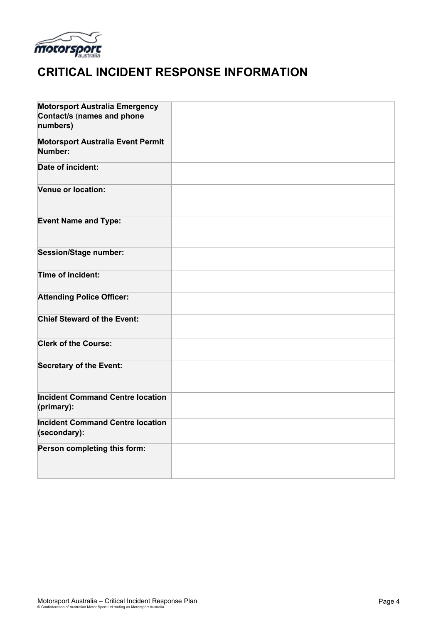

### **CRITICAL INCIDENT RESPONSE INFORMATION**

| <b>Motorsport Australia Emergency</b><br>Contact/s (names and phone<br>numbers) |  |
|---------------------------------------------------------------------------------|--|
| <b>Motorsport Australia Event Permit</b><br>Number:                             |  |
| Date of incident:                                                               |  |
| Venue or location:                                                              |  |
| <b>Event Name and Type:</b>                                                     |  |
| <b>Session/Stage number:</b>                                                    |  |
| Time of incident:                                                               |  |
| <b>Attending Police Officer:</b>                                                |  |
| <b>Chief Steward of the Event:</b>                                              |  |
| <b>Clerk of the Course:</b>                                                     |  |
| <b>Secretary of the Event:</b>                                                  |  |
| <b>Incident Command Centre location</b><br>(primary):                           |  |
| <b>Incident Command Centre location</b><br>(secondary):                         |  |
| Person completing this form:                                                    |  |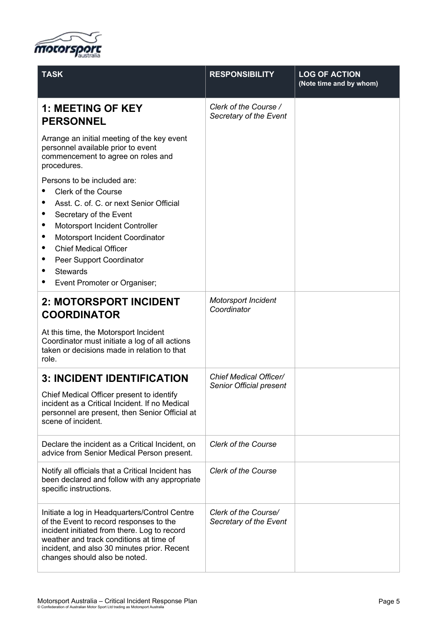

| <b>TASK</b>                                                                                                                                                                                                                                                                                                                                                                           | <b>RESPONSIBILITY</b>                             | <b>LOG OF ACTION</b><br>(Note time and by whom) |
|---------------------------------------------------------------------------------------------------------------------------------------------------------------------------------------------------------------------------------------------------------------------------------------------------------------------------------------------------------------------------------------|---------------------------------------------------|-------------------------------------------------|
| <b>1: MEETING OF KEY</b><br><b>PERSONNEL</b>                                                                                                                                                                                                                                                                                                                                          | Clerk of the Course /<br>Secretary of the Event   |                                                 |
| Arrange an initial meeting of the key event<br>personnel available prior to event<br>commencement to agree on roles and<br>procedures.                                                                                                                                                                                                                                                |                                                   |                                                 |
| Persons to be included are:<br><b>Clerk of the Course</b><br>Asst. C. of. C. or next Senior Official<br>٠<br>Secretary of the Event<br>٠<br>Motorsport Incident Controller<br>Motorsport Incident Coordinator<br>$\bullet$<br><b>Chief Medical Officer</b><br>٠<br>Peer Support Coordinator<br>$\bullet$<br><b>Stewards</b><br>$\bullet$<br>Event Promoter or Organiser;<br>$\bullet$ |                                                   |                                                 |
| 2: MOTORSPORT INCIDENT<br><b>COORDINATOR</b><br>At this time, the Motorsport Incident<br>Coordinator must initiate a log of all actions<br>taken or decisions made in relation to that<br>role.                                                                                                                                                                                       | <b>Motorsport Incident</b><br>Coordinator         |                                                 |
| <b>3: INCIDENT IDENTIFICATION</b><br>Chief Medical Officer present to identify<br>incident as a Critical Incident. If no Medical<br>personnel are present, then Senior Official at<br>scene of incident.                                                                                                                                                                              | Chief Medical Officer/<br>Senior Official present |                                                 |
| Declare the incident as a Critical Incident, on<br>advice from Senior Medical Person present.                                                                                                                                                                                                                                                                                         | <b>Clerk of the Course</b>                        |                                                 |
| Notify all officials that a Critical Incident has<br>been declared and follow with any appropriate<br>specific instructions.                                                                                                                                                                                                                                                          | <b>Clerk of the Course</b>                        |                                                 |
| Initiate a log in Headquarters/Control Centre<br>of the Event to record responses to the<br>incident initiated from there. Log to record<br>weather and track conditions at time of<br>incident, and also 30 minutes prior. Recent<br>changes should also be noted.                                                                                                                   | Clerk of the Course/<br>Secretary of the Event    |                                                 |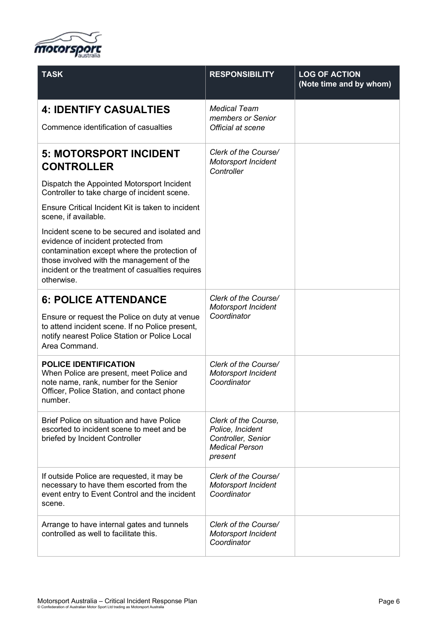

| <b>TASK</b>                                                                                                                                                                                                                                         | <b>RESPONSIBILITY</b>                                                                              | <b>LOG OF ACTION</b><br>(Note time and by whom) |
|-----------------------------------------------------------------------------------------------------------------------------------------------------------------------------------------------------------------------------------------------------|----------------------------------------------------------------------------------------------------|-------------------------------------------------|
| <b>4: IDENTIFY CASUALTIES</b>                                                                                                                                                                                                                       | <b>Medical Team</b><br>members or Senior                                                           |                                                 |
| Commence identification of casualties                                                                                                                                                                                                               | Official at scene                                                                                  |                                                 |
| <b>5: MOTORSPORT INCIDENT</b><br><b>CONTROLLER</b>                                                                                                                                                                                                  | Clerk of the Course/<br>Motorsport Incident<br>Controller                                          |                                                 |
| Dispatch the Appointed Motorsport Incident<br>Controller to take charge of incident scene.                                                                                                                                                          |                                                                                                    |                                                 |
| Ensure Critical Incident Kit is taken to incident<br>scene, if available.                                                                                                                                                                           |                                                                                                    |                                                 |
| Incident scene to be secured and isolated and<br>evidence of incident protected from<br>contamination except where the protection of<br>those involved with the management of the<br>incident or the treatment of casualties requires<br>otherwise. |                                                                                                    |                                                 |
| <b>6: POLICE ATTENDANCE</b>                                                                                                                                                                                                                         | Clerk of the Course/<br><b>Motorsport Incident</b>                                                 |                                                 |
| Ensure or request the Police on duty at venue<br>to attend incident scene. If no Police present,<br>notify nearest Police Station or Police Local<br>Area Command.                                                                                  | Coordinator                                                                                        |                                                 |
| <b>POLICE IDENTIFICATION</b><br>When Police are present, meet Police and<br>note name, rank, number for the Senior<br>Officer, Police Station, and contact phone<br>number.                                                                         | Clerk of the Course/<br>Motorsport Incident<br>Coordinator                                         |                                                 |
| Brief Police on situation and have Police<br>escorted to incident scene to meet and be<br>briefed by Incident Controller                                                                                                                            | Clerk of the Course,<br>Police, Incident<br>Controller, Senior<br><b>Medical Person</b><br>present |                                                 |
| If outside Police are requested, it may be<br>necessary to have them escorted from the<br>event entry to Event Control and the incident<br>scene.                                                                                                   | Clerk of the Course/<br><b>Motorsport Incident</b><br>Coordinator                                  |                                                 |
| Arrange to have internal gates and tunnels<br>controlled as well to facilitate this.                                                                                                                                                                | Clerk of the Course/<br><b>Motorsport Incident</b><br>Coordinator                                  |                                                 |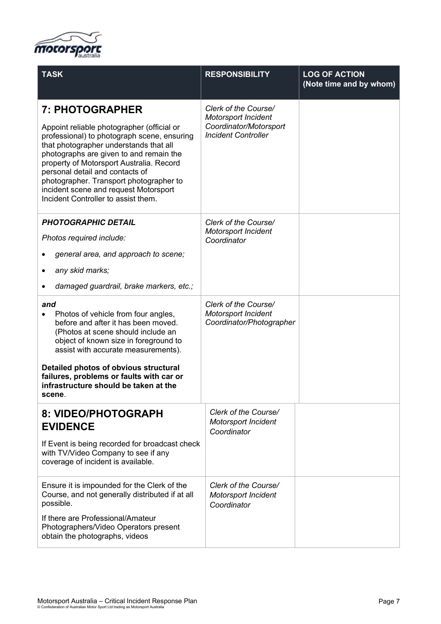

| <b>TASK</b>                                                                                                                                                                                                                                                                                                                                                                                                 | <b>RESPONSIBILITY</b>                                                                               | <b>LOG OF ACTION</b><br>(Note time and by whom) |
|-------------------------------------------------------------------------------------------------------------------------------------------------------------------------------------------------------------------------------------------------------------------------------------------------------------------------------------------------------------------------------------------------------------|-----------------------------------------------------------------------------------------------------|-------------------------------------------------|
| 7: PHOTOGRAPHER<br>Appoint reliable photographer (official or<br>professional) to photograph scene, ensuring<br>that photographer understands that all<br>photographs are given to and remain the<br>property of Motorsport Australia. Record<br>personal detail and contacts of<br>photographer. Transport photographer to<br>incident scene and request Motorsport<br>Incident Controller to assist them. | Clerk of the Course/<br>Motorsport Incident<br>Coordinator/Motorsport<br><b>Incident Controller</b> |                                                 |
| <b>PHOTOGRAPHIC DETAIL</b><br>Photos required include:<br>general area, and approach to scene;<br>any skid marks;<br>$\bullet$<br>damaged guardrail, brake markers, etc.;<br>$\bullet$                                                                                                                                                                                                                      | Clerk of the Course/<br>Motorsport Incident<br>Coordinator                                          |                                                 |
| and<br>Photos of vehicle from four angles,<br>before and after it has been moved.<br>(Photos at scene should include an<br>object of known size in foreground to<br>assist with accurate measurements).<br>Detailed photos of obvious structural<br>failures, problems or faults with car or<br>infrastructure should be taken at the<br>scene.                                                             | Clerk of the Course/<br><b>Motorsport Incident</b><br>Coordinator/Photographer                      |                                                 |
| 8: VIDEO/PHOTOGRAPH<br><b>EVIDENCE</b><br>If Event is being recorded for broadcast check<br>with TV/Video Company to see if any<br>coverage of incident is available.                                                                                                                                                                                                                                       | Clerk of the Course/<br>Motorsport Incident<br>Coordinator                                          |                                                 |
| Ensure it is impounded for the Clerk of the<br>Course, and not generally distributed if at all<br>possible.<br>If there are Professional/Amateur<br>Photographers/Video Operators present<br>obtain the photographs, videos                                                                                                                                                                                 | Clerk of the Course/<br><b>Motorsport Incident</b><br>Coordinator                                   |                                                 |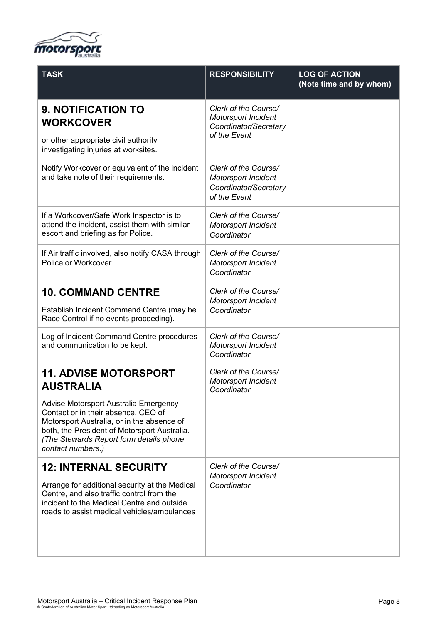

| <b>TASK</b>                                                                                                                                                                                                                                                                                    | <b>RESPONSIBILITY</b>                                                                       | <b>LOG OF ACTION</b><br>(Note time and by whom) |
|------------------------------------------------------------------------------------------------------------------------------------------------------------------------------------------------------------------------------------------------------------------------------------------------|---------------------------------------------------------------------------------------------|-------------------------------------------------|
| <b>9. NOTIFICATION TO</b><br><b>WORKCOVER</b><br>or other appropriate civil authority<br>investigating injuries at worksites.                                                                                                                                                                  | Clerk of the Course/<br><b>Motorsport Incident</b><br>Coordinator/Secretary<br>of the Event |                                                 |
| Notify Workcover or equivalent of the incident<br>and take note of their requirements.                                                                                                                                                                                                         | Clerk of the Course/<br><b>Motorsport Incident</b><br>Coordinator/Secretary<br>of the Event |                                                 |
| If a Workcover/Safe Work Inspector is to<br>attend the incident, assist them with similar<br>escort and briefing as for Police.                                                                                                                                                                | Clerk of the Course/<br><b>Motorsport Incident</b><br>Coordinator                           |                                                 |
| If Air traffic involved, also notify CASA through<br>Police or Workcover.                                                                                                                                                                                                                      | Clerk of the Course/<br><b>Motorsport Incident</b><br>Coordinator                           |                                                 |
| <b>10. COMMAND CENTRE</b><br>Establish Incident Command Centre (may be<br>Race Control if no events proceeding).                                                                                                                                                                               | Clerk of the Course/<br><b>Motorsport Incident</b><br>Coordinator                           |                                                 |
| Log of Incident Command Centre procedures<br>and communication to be kept.                                                                                                                                                                                                                     | Clerk of the Course/<br><b>Motorsport Incident</b><br>Coordinator                           |                                                 |
| <b>11. ADVISE MOTORSPORT</b><br><b>AUSTRALIA</b><br>Advise Motorsport Australia Emergency<br>Contact or in their absence, CEO of<br>Motorsport Australia, or in the absence of<br>both, the President of Motorsport Australia.<br>(The Stewards Report form details phone<br>contact numbers.) | Clerk of the Course/<br><b>Motorsport Incident</b><br>Coordinator                           |                                                 |
| <b>12: INTERNAL SECURITY</b><br>Arrange for additional security at the Medical<br>Centre, and also traffic control from the<br>incident to the Medical Centre and outside<br>roads to assist medical vehicles/ambulances                                                                       | Clerk of the Course/<br><b>Motorsport Incident</b><br>Coordinator                           |                                                 |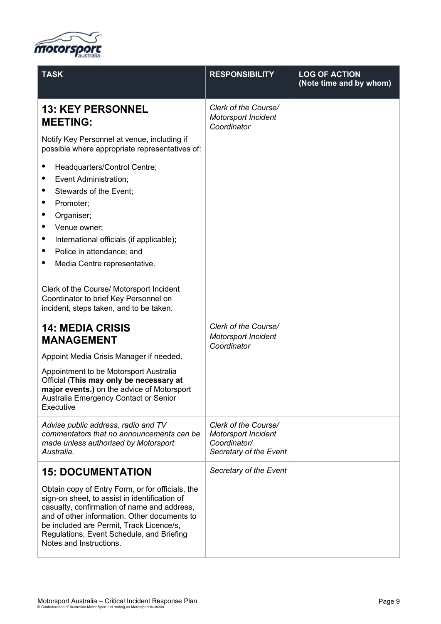

| <b>TASK</b>                                                                                                                                                                                                                                                                                                                                                                                | <b>RESPONSIBILITY</b>                                                                        | <b>LOG OF ACTION</b><br>(Note time and by whom) |
|--------------------------------------------------------------------------------------------------------------------------------------------------------------------------------------------------------------------------------------------------------------------------------------------------------------------------------------------------------------------------------------------|----------------------------------------------------------------------------------------------|-------------------------------------------------|
| <b>13: KEY PERSONNEL</b><br><b>MEETING:</b>                                                                                                                                                                                                                                                                                                                                                | Clerk of the Course/<br>Motorsport Incident<br>Coordinator                                   |                                                 |
| Notify Key Personnel at venue, including if<br>possible where appropriate representatives of:                                                                                                                                                                                                                                                                                              |                                                                                              |                                                 |
| Headquarters/Control Centre;<br>Event Administration;<br>$\bullet$<br>Stewards of the Event;<br>٠<br>Promoter;<br>Organiser;<br>٠<br>Venue owner:<br>International officials (if applicable);<br>Police in attendance; and<br>Media Centre representative.<br>Clerk of the Course/ Motorsport Incident<br>Coordinator to brief Key Personnel on<br>incident, steps taken, and to be taken. |                                                                                              |                                                 |
| <b>14: MEDIA CRISIS</b><br><b>MANAGEMENT</b>                                                                                                                                                                                                                                                                                                                                               | Clerk of the Course/<br><b>Motorsport Incident</b><br>Coordinator                            |                                                 |
| Appoint Media Crisis Manager if needed.                                                                                                                                                                                                                                                                                                                                                    |                                                                                              |                                                 |
| Appointment to be Motorsport Australia<br>Official (This may only be necessary at<br>major events.) on the advice of Motorsport<br>Australia Emergency Contact or Senior<br>Executive                                                                                                                                                                                                      |                                                                                              |                                                 |
| Advise public address, radio and TV<br>commentators that no announcements can be<br>made unless authorised by Motorsport<br>Australia.                                                                                                                                                                                                                                                     | Clerk of the Course/<br><b>Motorsport Incident</b><br>Coordinator/<br>Secretary of the Event |                                                 |
| <b>15: DOCUMENTATION</b>                                                                                                                                                                                                                                                                                                                                                                   | Secretary of the Event                                                                       |                                                 |
| Obtain copy of Entry Form, or for officials, the<br>sign-on sheet, to assist in identification of<br>casualty, confirmation of name and address,<br>and of other information. Other documents to<br>be included are Permit, Track Licence/s,<br>Regulations, Event Schedule, and Briefing<br>Notes and Instructions.                                                                       |                                                                                              |                                                 |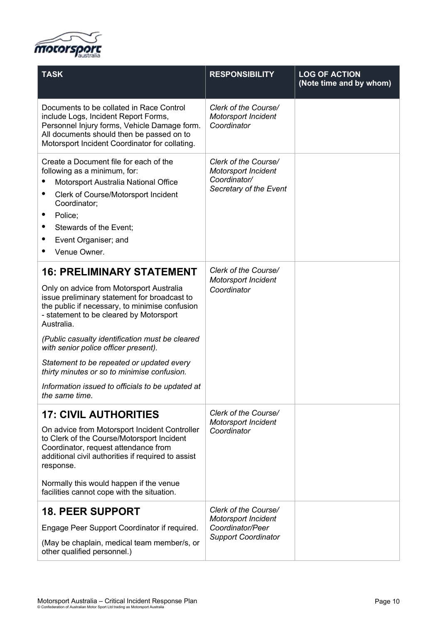

| <b>TASK</b>                                                                                                                                                                                                                                                                                                                                                                                                                                                                                          | <b>RESPONSIBILITY</b>                                                                        | <b>LOG OF ACTION</b><br>(Note time and by whom) |
|------------------------------------------------------------------------------------------------------------------------------------------------------------------------------------------------------------------------------------------------------------------------------------------------------------------------------------------------------------------------------------------------------------------------------------------------------------------------------------------------------|----------------------------------------------------------------------------------------------|-------------------------------------------------|
| Documents to be collated in Race Control<br>include Logs, Incident Report Forms,<br>Personnel Injury forms, Vehicle Damage form.<br>All documents should then be passed on to<br>Motorsport Incident Coordinator for collating.                                                                                                                                                                                                                                                                      | Clerk of the Course/<br><b>Motorsport Incident</b><br>Coordinator                            |                                                 |
| Create a Document file for each of the<br>following as a minimum, for:<br>Motorsport Australia National Office<br>Clerk of Course/Motorsport Incident<br>Coordinator;<br>Police;<br>Stewards of the Event:<br>Event Organiser; and<br>Venue Owner.                                                                                                                                                                                                                                                   | Clerk of the Course/<br><b>Motorsport Incident</b><br>Coordinator/<br>Secretary of the Event |                                                 |
| <b>16: PRELIMINARY STATEMENT</b><br>Only on advice from Motorsport Australia<br>issue preliminary statement for broadcast to<br>the public if necessary, to minimise confusion<br>- statement to be cleared by Motorsport<br>Australia.<br>(Public casualty identification must be cleared<br>with senior police officer present).<br>Statement to be repeated or updated every<br>thirty minutes or so to minimise confusion.<br>Information issued to officials to be updated at<br>the same time. | Clerk of the Course/<br><b>Motorsport Incident</b><br>Coordinator                            |                                                 |
| <b>17: CIVIL AUTHORITIES</b><br>On advice from Motorsport Incident Controller<br>to Clerk of the Course/Motorsport Incident<br>Coordinator, request attendance from<br>additional civil authorities if required to assist<br>response.<br>Normally this would happen if the venue<br>facilities cannot cope with the situation.<br><b>18. PEER SUPPORT</b>                                                                                                                                           | Clerk of the Course/<br><b>Motorsport Incident</b><br>Coordinator<br>Clerk of the Course/    |                                                 |
| Engage Peer Support Coordinator if required.<br>(May be chaplain, medical team member/s, or<br>other qualified personnel.)                                                                                                                                                                                                                                                                                                                                                                           | Motorsport Incident<br>Coordinator/Peer<br><b>Support Coordinator</b>                        |                                                 |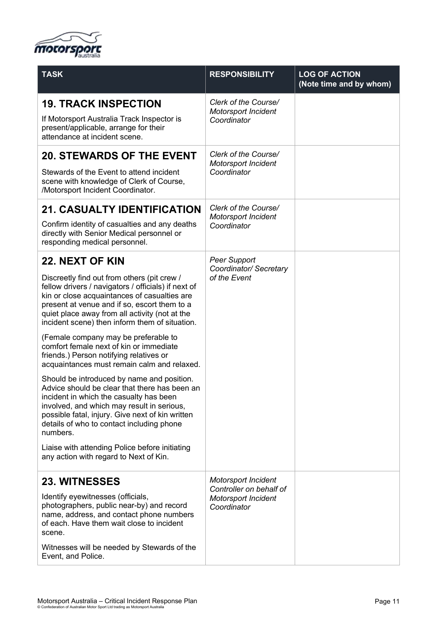

| <b>TASK</b>                                                                                                                                                                                                                                                                                            | <b>RESPONSIBILITY</b>                                                | <b>LOG OF ACTION</b><br>(Note time and by whom) |
|--------------------------------------------------------------------------------------------------------------------------------------------------------------------------------------------------------------------------------------------------------------------------------------------------------|----------------------------------------------------------------------|-------------------------------------------------|
| <b>19. TRACK INSPECTION</b>                                                                                                                                                                                                                                                                            | Clerk of the Course/<br><b>Motorsport Incident</b><br>Coordinator    |                                                 |
| If Motorsport Australia Track Inspector is<br>present/applicable, arrange for their<br>attendance at incident scene.                                                                                                                                                                                   |                                                                      |                                                 |
| <b>20. STEWARDS OF THE EVENT</b>                                                                                                                                                                                                                                                                       | Clerk of the Course/<br><b>Motorsport Incident</b><br>Coordinator    |                                                 |
| Stewards of the Event to attend incident<br>scene with knowledge of Clerk of Course,<br>/Motorsport Incident Coordinator.                                                                                                                                                                              |                                                                      |                                                 |
| <b>21. CASUALTY IDENTIFICATION</b>                                                                                                                                                                                                                                                                     | Clerk of the Course/                                                 |                                                 |
| Confirm identity of casualties and any deaths<br>directly with Senior Medical personnel or<br>responding medical personnel.                                                                                                                                                                            | <b>Motorsport Incident</b><br>Coordinator                            |                                                 |
| <b>22. NEXT OF KIN</b>                                                                                                                                                                                                                                                                                 | <b>Peer Support</b>                                                  |                                                 |
| Discreetly find out from others (pit crew /<br>fellow drivers / navigators / officials) if next of<br>kin or close acquaintances of casualties are<br>present at venue and if so, escort them to a<br>quiet place away from all activity (not at the<br>incident scene) then inform them of situation. | Coordinator/ Secretary<br>of the Event                               |                                                 |
| (Female company may be preferable to<br>comfort female next of kin or immediate<br>friends.) Person notifying relatives or<br>acquaintances must remain calm and relaxed.                                                                                                                              |                                                                      |                                                 |
| Should be introduced by name and position.<br>Advice should be clear that there has been an<br>incident in which the casualty has been<br>involved, and which may result in serious,<br>possible fatal, injury. Give next of kin written<br>details of who to contact including phone<br>numbers.      |                                                                      |                                                 |
| Liaise with attending Police before initiating<br>any action with regard to Next of Kin.                                                                                                                                                                                                               |                                                                      |                                                 |
| <b>23. WITNESSES</b>                                                                                                                                                                                                                                                                                   | <b>Motorsport Incident</b>                                           |                                                 |
| Identify eyewitnesses (officials,<br>photographers, public near-by) and record<br>name, address, and contact phone numbers<br>of each. Have them wait close to incident<br>scene.                                                                                                                      | Controller on behalf of<br><b>Motorsport Incident</b><br>Coordinator |                                                 |
| Witnesses will be needed by Stewards of the<br>Event, and Police.                                                                                                                                                                                                                                      |                                                                      |                                                 |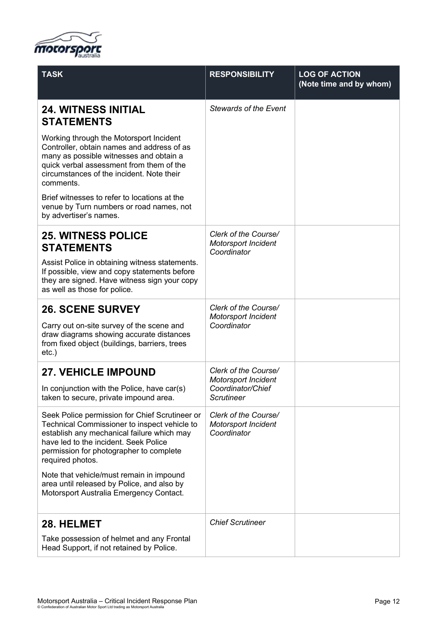

| <b>TASK</b>                                                                                                                                                                                                                                          | <b>RESPONSIBILITY</b>                                             | <b>LOG OF ACTION</b><br>(Note time and by whom) |
|------------------------------------------------------------------------------------------------------------------------------------------------------------------------------------------------------------------------------------------------------|-------------------------------------------------------------------|-------------------------------------------------|
| <b>24. WITNESS INITIAL</b><br><b>STATEMENTS</b>                                                                                                                                                                                                      | <b>Stewards of the Event</b>                                      |                                                 |
| Working through the Motorsport Incident<br>Controller, obtain names and address of as<br>many as possible witnesses and obtain a<br>quick verbal assessment from them of the<br>circumstances of the incident. Note their<br>comments.               |                                                                   |                                                 |
| Brief witnesses to refer to locations at the<br>venue by Turn numbers or road names, not<br>by advertiser's names.                                                                                                                                   |                                                                   |                                                 |
| <b>25. WITNESS POLICE</b><br><b>STATEMENTS</b><br>Assist Police in obtaining witness statements.<br>If possible, view and copy statements before<br>they are signed. Have witness sign your copy<br>as well as those for police.                     | Clerk of the Course/<br><b>Motorsport Incident</b><br>Coordinator |                                                 |
| <b>26. SCENE SURVEY</b>                                                                                                                                                                                                                              | Clerk of the Course/<br><b>Motorsport Incident</b><br>Coordinator |                                                 |
| Carry out on-site survey of the scene and<br>draw diagrams showing accurate distances<br>from fixed object (buildings, barriers, trees<br>$etc.$ )                                                                                                   |                                                                   |                                                 |
| <b>27. VEHICLE IMPOUND</b>                                                                                                                                                                                                                           | Clerk of the Course/<br><b>Motorsport Incident</b>                |                                                 |
| In conjunction with the Police, have car(s)<br>taken to secure, private impound area.                                                                                                                                                                | Coordinator/Chief<br>Scrutineer                                   |                                                 |
| Seek Police permission for Chief Scrutineer or<br>Technical Commissioner to inspect vehicle to<br>establish any mechanical failure which may<br>have led to the incident. Seek Police<br>permission for photographer to complete<br>required photos. | Clerk of the Course/<br><b>Motorsport Incident</b><br>Coordinator |                                                 |
| Note that vehicle/must remain in impound<br>area until released by Police, and also by<br>Motorsport Australia Emergency Contact.                                                                                                                    |                                                                   |                                                 |
| 28. HELMET                                                                                                                                                                                                                                           | <b>Chief Scrutineer</b>                                           |                                                 |
| Take possession of helmet and any Frontal<br>Head Support, if not retained by Police.                                                                                                                                                                |                                                                   |                                                 |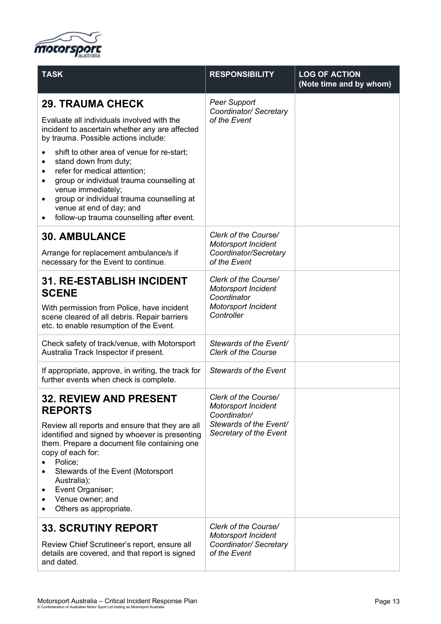

| <b>TASK</b>                                                                                                                                                                                                                                                                                                                                                                               | <b>RESPONSIBILITY</b>                                                                                           | <b>LOG OF ACTION</b><br>(Note time and by whom) |
|-------------------------------------------------------------------------------------------------------------------------------------------------------------------------------------------------------------------------------------------------------------------------------------------------------------------------------------------------------------------------------------------|-----------------------------------------------------------------------------------------------------------------|-------------------------------------------------|
| <b>29. TRAUMA CHECK</b>                                                                                                                                                                                                                                                                                                                                                                   | <b>Peer Support</b><br>Coordinator/ Secretary<br>of the Event                                                   |                                                 |
| Evaluate all individuals involved with the<br>incident to ascertain whether any are affected<br>by trauma. Possible actions include:                                                                                                                                                                                                                                                      |                                                                                                                 |                                                 |
| shift to other area of venue for re-start;<br>$\bullet$<br>stand down from duty;<br>٠<br>refer for medical attention;<br>$\bullet$<br>group or individual trauma counselling at<br>٠<br>venue immediately;<br>group or individual trauma counselling at<br>$\bullet$<br>venue at end of day; and<br>follow-up trauma counselling after event.                                             |                                                                                                                 |                                                 |
| <b>30. AMBULANCE</b><br>Arrange for replacement ambulance/s if<br>necessary for the Event to continue.                                                                                                                                                                                                                                                                                    | Clerk of the Course/<br><b>Motorsport Incident</b><br>Coordinator/Secretary<br>of the Event                     |                                                 |
| <b>31. RE-ESTABLISH INCIDENT</b><br><b>SCENE</b><br>With permission from Police, have incident<br>scene cleared of all debris. Repair barriers<br>etc. to enable resumption of the Event.                                                                                                                                                                                                 | Clerk of the Course/<br>Motorsport Incident<br>Coordinator<br><b>Motorsport Incident</b><br>Controller          |                                                 |
| Check safety of track/venue, with Motorsport<br>Australia Track Inspector if present.                                                                                                                                                                                                                                                                                                     | Stewards of the Event/<br><b>Clerk of the Course</b>                                                            |                                                 |
| If appropriate, approve, in writing, the track for<br>further events when check is complete.                                                                                                                                                                                                                                                                                              | <b>Stewards of the Event</b>                                                                                    |                                                 |
| <b>32. REVIEW AND PRESENT</b><br><b>REPORTS</b><br>Review all reports and ensure that they are all<br>identified and signed by whoever is presenting<br>them. Prepare a document file containing one<br>copy of each for:<br>Police;<br>Stewards of the Event (Motorsport<br>Australia);<br>Event Organiser;<br>٠<br>Venue owner; and<br>$\bullet$<br>Others as appropriate.<br>$\bullet$ | Clerk of the Course/<br>Motorsport Incident<br>Coordinator/<br>Stewards of the Event/<br>Secretary of the Event |                                                 |
| <b>33. SCRUTINY REPORT</b><br>Review Chief Scrutineer's report, ensure all<br>details are covered, and that report is signed<br>and dated.                                                                                                                                                                                                                                                | Clerk of the Course/<br><b>Motorsport Incident</b><br>Coordinator/ Secretary<br>of the Event                    |                                                 |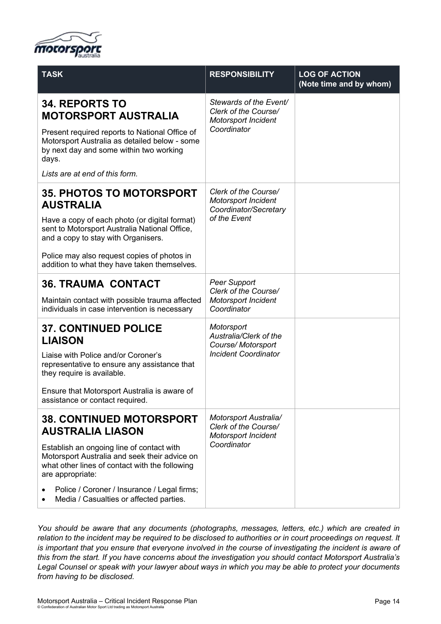

| <b>TASK</b>                                                                                                                                                                                                                                                                                                              | <b>RESPONSIBILITY</b>                                                                       | <b>LOG OF ACTION</b><br>(Note time and by whom) |
|--------------------------------------------------------------------------------------------------------------------------------------------------------------------------------------------------------------------------------------------------------------------------------------------------------------------------|---------------------------------------------------------------------------------------------|-------------------------------------------------|
| <b>34. REPORTS TO</b><br><b>MOTORSPORT AUSTRALIA</b>                                                                                                                                                                                                                                                                     | Stewards of the Event/<br>Clerk of the Course/<br><b>Motorsport Incident</b><br>Coordinator |                                                 |
| Present required reports to National Office of<br>Motorsport Australia as detailed below - some<br>by next day and some within two working<br>days.                                                                                                                                                                      |                                                                                             |                                                 |
| Lists are at end of this form.                                                                                                                                                                                                                                                                                           |                                                                                             |                                                 |
| <b>35. PHOTOS TO MOTORSPORT</b><br><b>AUSTRALIA</b><br>Have a copy of each photo (or digital format)<br>sent to Motorsport Australia National Office,<br>and a copy to stay with Organisers.                                                                                                                             | Clerk of the Course/<br><b>Motorsport Incident</b><br>Coordinator/Secretary<br>of the Event |                                                 |
| Police may also request copies of photos in<br>addition to what they have taken themselves.                                                                                                                                                                                                                              |                                                                                             |                                                 |
| <b>36. TRAUMA CONTACT</b><br>Maintain contact with possible trauma affected<br>individuals in case intervention is necessary                                                                                                                                                                                             | <b>Peer Support</b><br>Clerk of the Course/<br><b>Motorsport Incident</b><br>Coordinator    |                                                 |
| <b>37. CONTINUED POLICE</b><br><b>LIAISON</b><br>Liaise with Police and/or Coroner's<br>representative to ensure any assistance that<br>they require is available.<br>Ensure that Motorsport Australia is aware of<br>assistance or contact required.                                                                    | Motorsport<br>Australia/Clerk of the<br>Course/Motorsport<br><b>Incident Coordinator</b>    |                                                 |
| <b>38. CONTINUED MOTORSPORT</b><br><b>AUSTRALIA LIASON</b><br>Establish an ongoing line of contact with<br>Motorsport Australia and seek their advice on<br>what other lines of contact with the following<br>are appropriate:<br>Police / Coroner / Insurance / Legal firms;<br>Media / Casualties or affected parties. | Motorsport Australia/<br>Clerk of the Course/<br>Motorsport Incident<br>Coordinator         |                                                 |

*You should be aware that any documents (photographs, messages, letters, etc.) which are created in relation to the incident may be required to be disclosed to authorities or in court proceedings on request. It is important that you ensure that everyone involved in the course of investigating the incident is aware of this from the start. If you have concerns about the investigation you should contact Motorsport Australia's Legal Counsel or speak with your lawyer about ways in which you may be able to protect your documents from having to be disclosed.*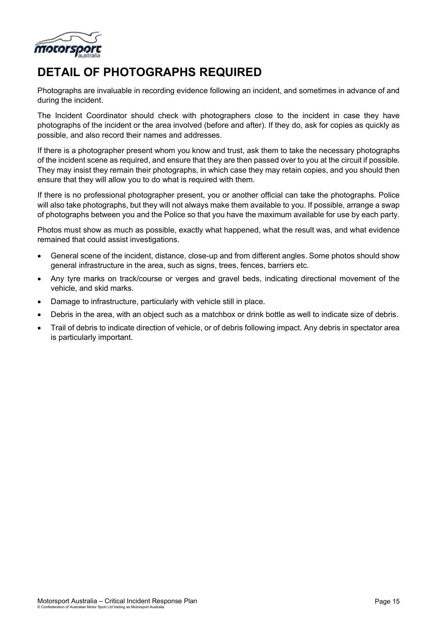

## **DETAIL OF PHOTOGRAPHS REQUIRED**

Photographs are invaluable in recording evidence following an incident, and sometimes in advance of and during the incident.

The Incident Coordinator should check with photographers close to the incident in case they have photographs of the incident or the area involved (before and after). If they do, ask for copies as quickly as possible, and also record their names and addresses.

If there is a photographer present whom you know and trust, ask them to take the necessary photographs of the incident scene as required, and ensure that they are then passed over to you at the circuit if possible. They may insist they remain their photographs, in which case they may retain copies, and you should then ensure that they will allow you to do what is required with them.

If there is no professional photographer present, you or another official can take the photographs. Police will also take photographs, but they will not always make them available to you. If possible, arrange a swap of photographs between you and the Police so that you have the maximum available for use by each party.

Photos must show as much as possible, exactly what happened, what the result was, and what evidence remained that could assist investigations.

- General scene of the incident, distance, close-up and from different angles. Some photos should show general infrastructure in the area, such as signs, trees, fences, barriers etc.
- Any tyre marks on track/course or verges and gravel beds, indicating directional movement of the vehicle, and skid marks.
- Damage to infrastructure, particularly with vehicle still in place.
- Debris in the area, with an object such as a matchbox or drink bottle as well to indicate size of debris.
- Trail of debris to indicate direction of vehicle, or of debris following impact. Any debris in spectator area is particularly important.